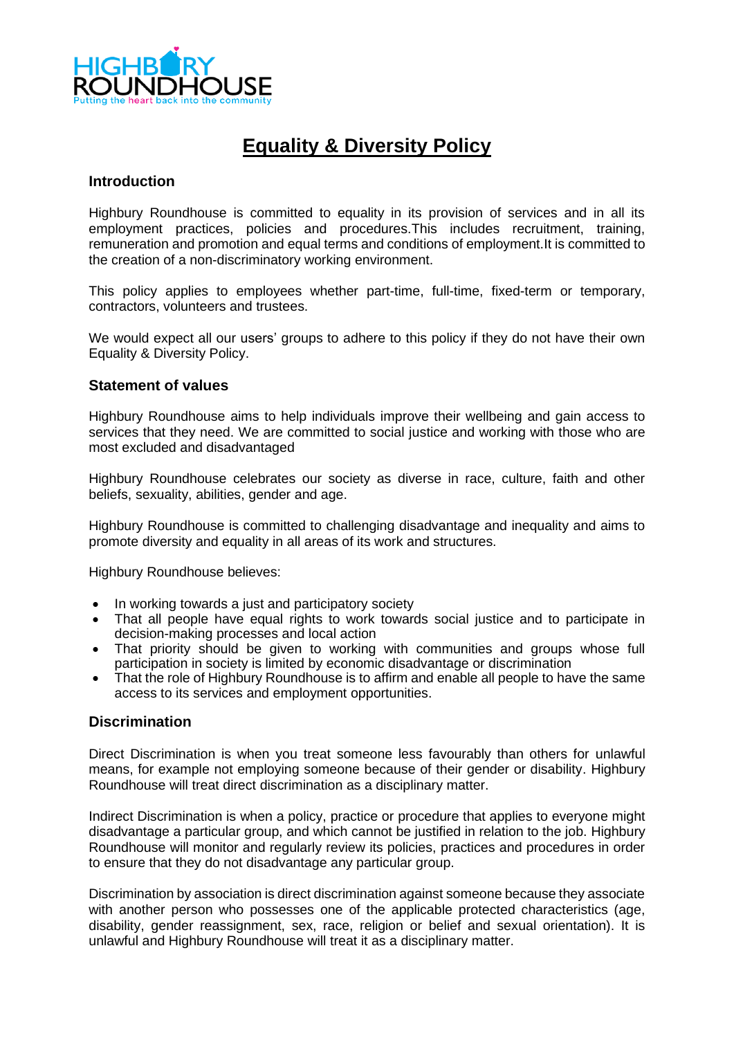

# **Equality & Diversity Policy**

#### **Introduction**

Highbury Roundhouse is committed to equality in its provision of services and in all its employment practices, policies and procedures.This includes recruitment, training, remuneration and promotion and equal terms and conditions of employment.It is committed to the creation of a non-discriminatory working environment.

This policy applies to employees whether part-time, full-time, fixed-term or temporary, contractors, volunteers and trustees.

We would expect all our users' groups to adhere to this policy if they do not have their own Equality & Diversity Policy.

#### **Statement of values**

Highbury Roundhouse aims to help individuals improve their wellbeing and gain access to services that they need. We are committed to social justice and working with those who are most excluded and disadvantaged

Highbury Roundhouse celebrates our society as diverse in race, culture, faith and other beliefs, sexuality, abilities, gender and age.

Highbury Roundhouse is committed to challenging disadvantage and inequality and aims to promote diversity and equality in all areas of its work and structures.

Highbury Roundhouse believes:

- In working towards a just and participatory society
- That all people have equal rights to work towards social justice and to participate in decision-making processes and local action
- That priority should be given to working with communities and groups whose full participation in society is limited by economic disadvantage or discrimination
- That the role of Highbury Roundhouse is to affirm and enable all people to have the same access to its services and employment opportunities.

#### **Discrimination**

Direct Discrimination is when you treat someone less favourably than others for unlawful means, for example not employing someone because of their gender or disability. Highbury Roundhouse will treat direct discrimination as a disciplinary matter.

Indirect Discrimination is when a policy, practice or procedure that applies to everyone might disadvantage a particular group, and which cannot be justified in relation to the job. Highbury Roundhouse will monitor and regularly review its policies, practices and procedures in order to ensure that they do not disadvantage any particular group.

Discrimination by association is direct discrimination against someone because they associate with another person who possesses one of the applicable protected characteristics (age, disability, gender reassignment, sex, race, religion or belief and sexual orientation). It is unlawful and Highbury Roundhouse will treat it as a disciplinary matter.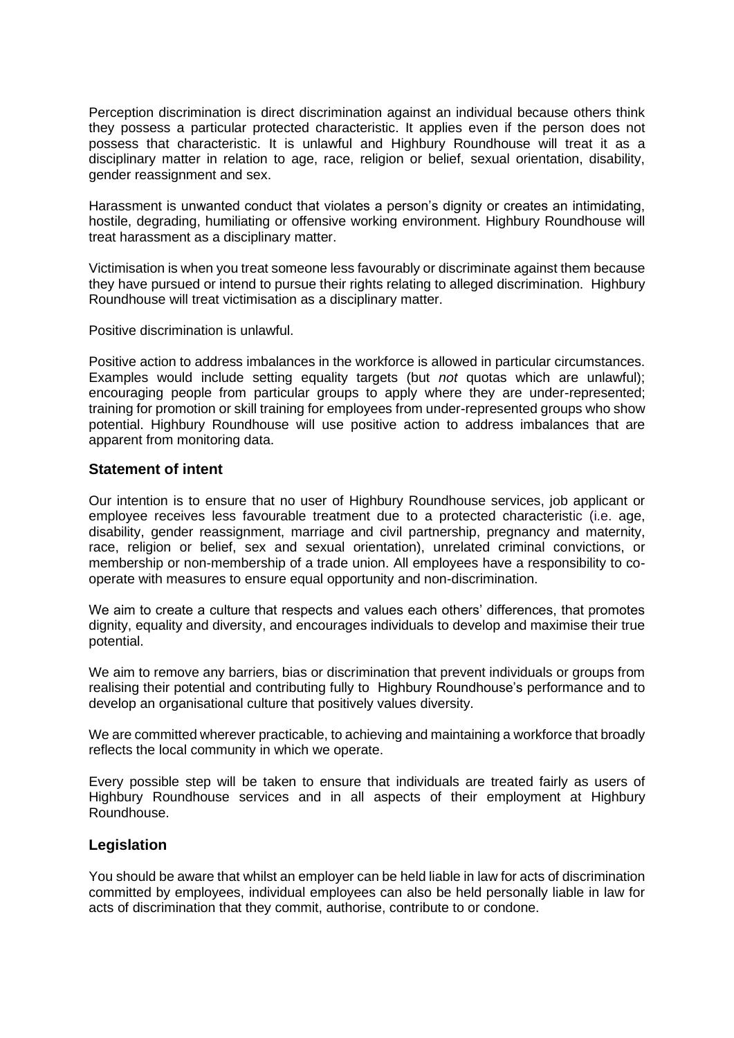Perception discrimination is direct discrimination against an individual because others think they possess a particular protected characteristic. It applies even if the person does not possess that characteristic. It is unlawful and Highbury Roundhouse will treat it as a disciplinary matter in relation to age, race, religion or belief, sexual orientation, disability, gender reassignment and sex.

Harassment is unwanted conduct that violates a person's dignity or creates an intimidating, hostile, degrading, humiliating or offensive working environment. Highbury Roundhouse will treat harassment as a disciplinary matter.

Victimisation is when you treat someone less favourably or discriminate against them because they have pursued or intend to pursue their rights relating to alleged discrimination. Highbury Roundhouse will treat victimisation as a disciplinary matter.

Positive discrimination is unlawful.

Positive action to address imbalances in the workforce is allowed in particular circumstances. Examples would include setting equality targets (but *not* quotas which are unlawful); encouraging people from particular groups to apply where they are under-represented; training for promotion or skill training for employees from under-represented groups who show potential. Highbury Roundhouse will use positive action to address imbalances that are apparent from monitoring data.

#### **Statement of intent**

Our intention is to ensure that no user of Highbury Roundhouse services, job applicant or employee receives less favourable treatment due to a protected characteristic (i.e. age, disability, gender reassignment, marriage and civil partnership, pregnancy and maternity, race, religion or belief, sex and sexual orientation), unrelated criminal convictions, or membership or non-membership of a trade union. All employees have a responsibility to cooperate with measures to ensure equal opportunity and non-discrimination.

We aim to create a culture that respects and values each others' differences, that promotes dignity, equality and diversity, and encourages individuals to develop and maximise their true potential.

We aim to remove any barriers, bias or discrimination that prevent individuals or groups from realising their potential and contributing fully to Highbury Roundhouse's performance and to develop an organisational culture that positively values diversity.

We are committed wherever practicable, to achieving and maintaining a workforce that broadly reflects the local community in which we operate.

Every possible step will be taken to ensure that individuals are treated fairly as users of Highbury Roundhouse services and in all aspects of their employment at Highbury Roundhouse.

## **Legislation**

You should be aware that whilst an employer can be held liable in law for acts of discrimination committed by employees, individual employees can also be held personally liable in law for acts of discrimination that they commit, authorise, contribute to or condone.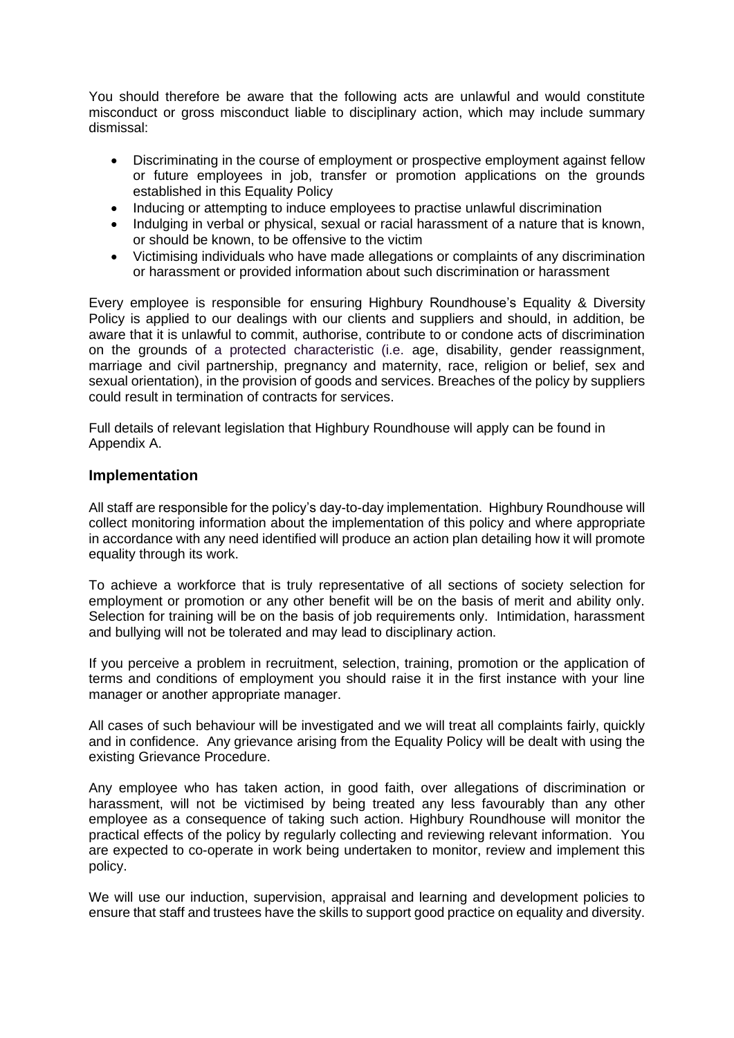You should therefore be aware that the following acts are unlawful and would constitute misconduct or gross misconduct liable to disciplinary action, which may include summary dismissal:

- Discriminating in the course of employment or prospective employment against fellow or future employees in job, transfer or promotion applications on the grounds established in this Equality Policy
- Inducing or attempting to induce employees to practise unlawful discrimination
- Indulging in verbal or physical, sexual or racial harassment of a nature that is known, or should be known, to be offensive to the victim
- Victimising individuals who have made allegations or complaints of any discrimination or harassment or provided information about such discrimination or harassment

Every employee is responsible for ensuring Highbury Roundhouse's Equality & Diversity Policy is applied to our dealings with our clients and suppliers and should, in addition, be aware that it is unlawful to commit, authorise, contribute to or condone acts of discrimination on the grounds of a protected characteristic (i.e. age, disability, gender reassignment, marriage and civil partnership, pregnancy and maternity, race, religion or belief, sex and sexual orientation), in the provision of goods and services. Breaches of the policy by suppliers could result in termination of contracts for services.

Full details of relevant legislation that Highbury Roundhouse will apply can be found in Appendix A.

## **Implementation**

All staff are responsible for the policy's day-to-day implementation. Highbury Roundhouse will collect monitoring information about the implementation of this policy and where appropriate in accordance with any need identified will produce an action plan detailing how it will promote equality through its work.

To achieve a workforce that is truly representative of all sections of society selection for employment or promotion or any other benefit will be on the basis of merit and ability only. Selection for training will be on the basis of job requirements only. Intimidation, harassment and bullying will not be tolerated and may lead to disciplinary action.

If you perceive a problem in recruitment, selection, training, promotion or the application of terms and conditions of employment you should raise it in the first instance with your line manager or another appropriate manager.

All cases of such behaviour will be investigated and we will treat all complaints fairly, quickly and in confidence. Any grievance arising from the Equality Policy will be dealt with using the existing Grievance Procedure.

Any employee who has taken action, in good faith, over allegations of discrimination or harassment, will not be victimised by being treated any less favourably than any other employee as a consequence of taking such action. Highbury Roundhouse will monitor the practical effects of the policy by regularly collecting and reviewing relevant information. You are expected to co-operate in work being undertaken to monitor, review and implement this policy.

We will use our induction, supervision, appraisal and learning and development policies to ensure that staff and trustees have the skills to support good practice on equality and diversity.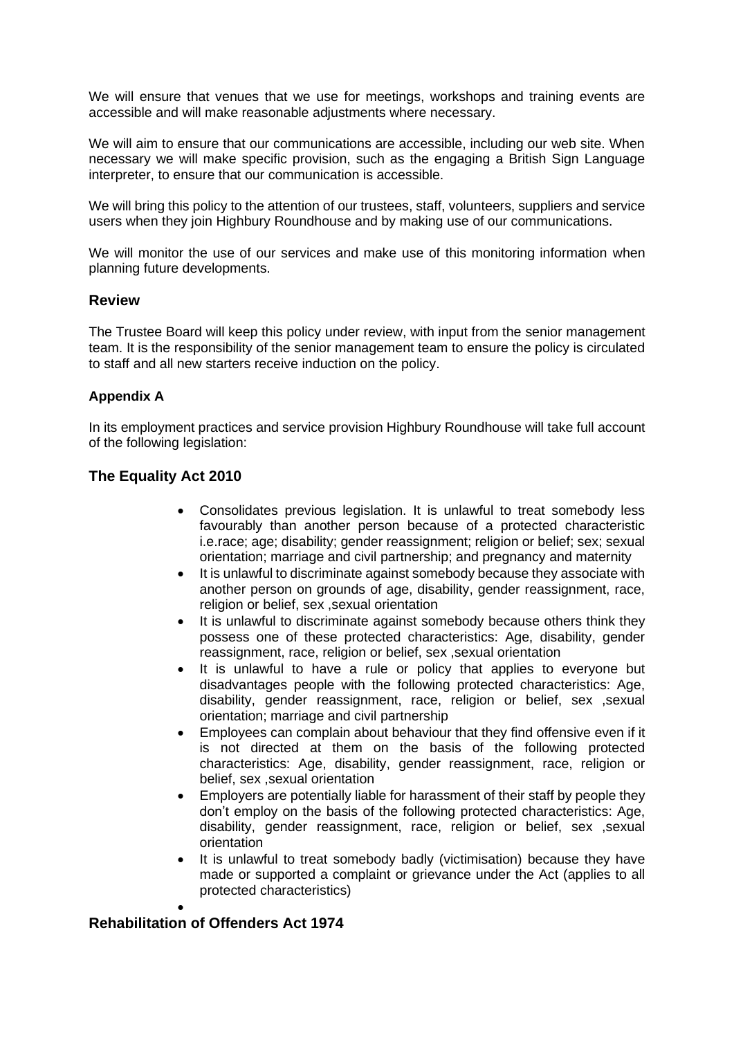We will ensure that venues that we use for meetings, workshops and training events are accessible and will make reasonable adjustments where necessary.

We will aim to ensure that our communications are accessible, including our web site. When necessary we will make specific provision, such as the engaging a British Sign Language interpreter, to ensure that our communication is accessible.

We will bring this policy to the attention of our trustees, staff, volunteers, suppliers and service users when they join Highbury Roundhouse and by making use of our communications.

We will monitor the use of our services and make use of this monitoring information when planning future developments.

#### **Review**

The Trustee Board will keep this policy under review, with input from the senior management team. It is the responsibility of the senior management team to ensure the policy is circulated to staff and all new starters receive induction on the policy.

#### **Appendix A**

In its employment practices and service provision Highbury Roundhouse will take full account of the following legislation:

## **The Equality Act 2010**

- Consolidates previous legislation. It is unlawful to treat somebody less favourably than another person because of a protected characteristic i.e.race; age; disability; gender reassignment; religion or belief; sex; sexual orientation; marriage and civil partnership; and pregnancy and maternity
- It is unlawful to discriminate against somebody because they associate with another person on grounds of age, disability, gender reassignment, race, religion or belief, sex ,sexual orientation
- It is unlawful to discriminate against somebody because others think they possess one of these protected characteristics: Age, disability, gender reassignment, race, religion or belief, sex ,sexual orientation
- It is unlawful to have a rule or policy that applies to everyone but disadvantages people with the following protected characteristics: Age, disability, gender reassignment, race, religion or belief, sex ,sexual orientation; marriage and civil partnership
- Employees can complain about behaviour that they find offensive even if it is not directed at them on the basis of the following protected characteristics: Age, disability, gender reassignment, race, religion or belief, sex ,sexual orientation
- Employers are potentially liable for harassment of their staff by people they don't employ on the basis of the following protected characteristics: Age, disability, gender reassignment, race, religion or belief, sex ,sexual orientation
- It is unlawful to treat somebody badly (victimisation) because they have made or supported a complaint or grievance under the Act (applies to all protected characteristics)

•

# **Rehabilitation of Offenders Act 1974**